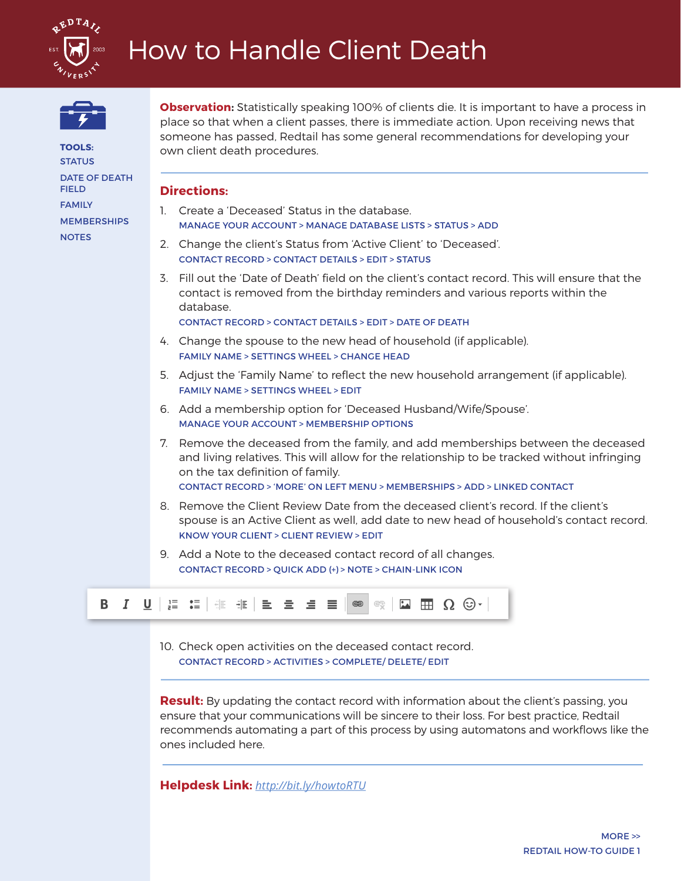



DATE OF DEATH

**MEMBERSHIPS** 

**TOOLS: STATUS** 

FIELD FAMILY

**NOTES** 

**Observation:** Statistically speaking 100% of clients die. It is important to have a process in place so that when a client passes, there is immediate action. Upon receiving news that someone has passed, Redtail has some general recommendations for developing your own client death procedures.

### **Directions:**

- 1. Create a 'Deceased' Status in the database. MANAGE YOUR ACCOUNT > MANAGE DATABASE LISTS > STATUS > ADD
- 2. Change the client's Status from 'Active Client' to 'Deceased'. CONTACT RECORD > CONTACT DETAILS > EDIT > STATUS
- 3. Fill out the 'Date of Death' field on the client's contact record. This will ensure that the contact is removed from the birthday reminders and various reports within the database. CONTACT RECORD > CONTACT DETAILS > EDIT > DATE OF DEATH
- 4. Change the spouse to the new head of household (if applicable). FAMILY NAME > SETTINGS WHEEL > CHANGE HEAD
- 5. Adjust the 'Family Name' to reflect the new household arrangement (if applicable). FAMILY NAME > SETTINGS WHEEL > EDIT
- 6. Add a membership option for 'Deceased Husband/Wife/Spouse'. MANAGE YOUR ACCOUNT > MEMBERSHIP OPTIONS
- 7. Remove the deceased from the family, and add memberships between the deceased and living relatives. This will allow for the relationship to be tracked without infringing on the tax definition of family. CONTACT RECORD > 'MORE' ON LEFT MENU > MEMBERSHIPS > ADD > LINKED CONTACT
- 8. Remove the Client Review Date from the deceased client's record. If the client's spouse is an Active Client as well, add date to new head of household's contact record. KNOW YOUR CLIENT > CLIENT REVIEW > EDIT
- 9. Add a Note to the deceased contact record of all changes. CONTACT RECORD > QUICK ADD (+) > NOTE > CHAIN-LINK ICON



10. Check open activities on the deceased contact record. CONTACT RECORD > ACTIVITIES > COMPLETE/ DELETE/ EDIT

**Result:** By updating the contact record with information about the client's passing, you ensure that your communications will be sincere to their loss. For best practice, Redtail recommends automating a part of this process by using automatons and workflows like the ones included here.

**Helpdesk Link:** *http://bit.ly/howtoRTU*